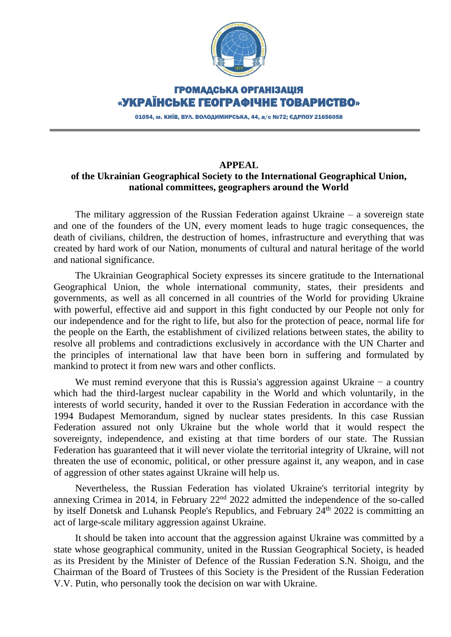

## ГРОМАДСЬКА ОРГАНІЗАЦІЯ «УКРАЇНСЬКЕ ГЕОГРАФІЧНЕ ТОВАРИСТВО»

01054, м. КИЇВ, ВУЛ. ВОЛОДИМИРСЬКА, 44, а/с №72; ЄДРПОУ 21656058

## **APPEAL**

## **of the Ukrainian Geographical Society to the International Geographical Union, national committees, geographers around the World**

The military aggression of the Russian Federation against Ukraine – a sovereign state and one of the founders of the UN, every moment leads to huge tragic consequences, the death of civilians, children, the destruction of homes, infrastructure and everything that was created by hard work of our Nation, monuments of cultural and natural heritage of the world and national significance.

The Ukrainian Geographical Society expresses its sincere gratitude to the International Geographical Union, the whole international community, states, their presidents and governments, as well as all concerned in all countries of the World for providing Ukraine with powerful, effective aid and support in this fight conducted by our People not only for our independence and for the right to life, but also for the protection of peace, normal life for the people on the Earth, the establishment of civilized relations between states, the ability to resolve all problems and contradictions exclusively in accordance with the UN Charter and the principles of international law that have been born in suffering and formulated by mankind to protect it from new wars and other conflicts.

We must remind everyone that this is Russia's aggression against Ukraine  $-$  a country which had the third-largest nuclear capability in the World and which voluntarily, in the interests of world security, handed it over to the Russian Federation in accordance with the 1994 Budapest Memorandum, signed by nuclear states presidents. In this case Russian Federation assured not only Ukraine but the whole world that it would respect the sovereignty, independence, and existing at that time borders of our state. The Russian Federation has guaranteed that it will never violate the territorial integrity of Ukraine, will not threaten the use of economic, political, or other pressure against it, any weapon, and in case of aggression of other states against Ukraine will help us.

Nevertheless, the Russian Federation has violated Ukraine's territorial integrity by annexing Crimea in 2014, in February 22<sup>nd</sup> 2022 admitted the independence of the so-called by itself Donetsk and Luhansk People's Republics, and February 24th 2022 is committing an act of large-scale military aggression against Ukraine.

It should be taken into account that the aggression against Ukraine was committed by a state whose geographical community, united in the Russian Geographical Society, is headed as its President by the Minister of Defence of the Russian Federation S.N. Shoigu, and the Chairman of the Board of Trustees of this Society is the President of the Russian Federation V.V. Putin, who personally took the decision on war with Ukraine.